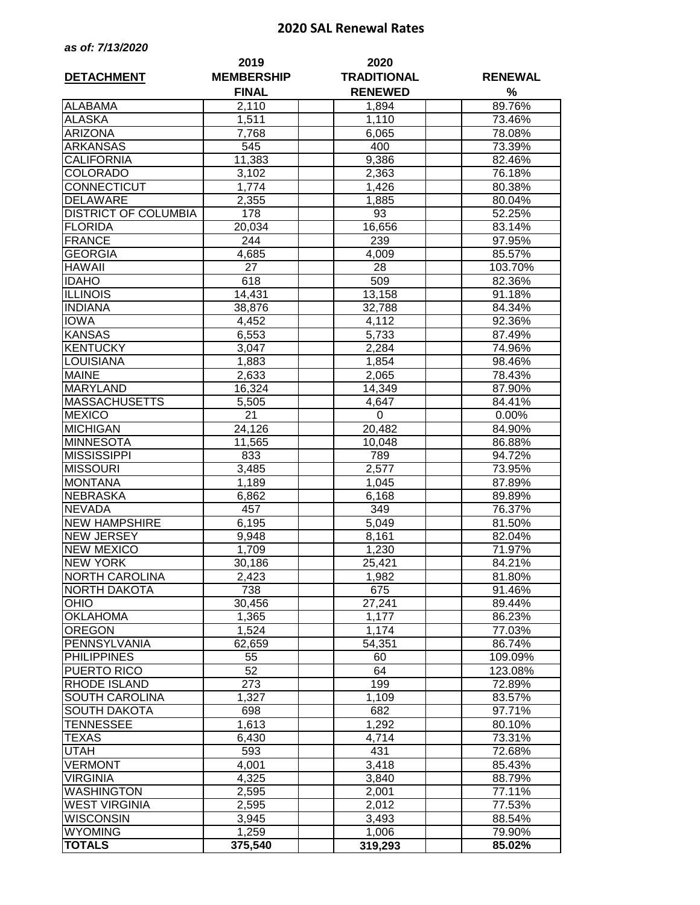## **2020 SAL Renewal Rates**

| as of: 7/13/2020 |  |  |
|------------------|--|--|
|------------------|--|--|

| <b>DETACHMENT</b>           | 2019<br><b>MEMBERSHIP</b> | 2020<br><b>TRADITIONAL</b> | <b>RENEWAL</b> |
|-----------------------------|---------------------------|----------------------------|----------------|
|                             | <b>FINAL</b>              | <b>RENEWED</b>             | $\%$           |
| <b>ALABAMA</b>              | 2,110                     | 1,894                      | 89.76%         |
| <b>ALASKA</b>               | 1,511                     | 1,110                      | 73.46%         |
| <b>ARIZONA</b>              | 7,768                     | 6,065                      | 78.08%         |
| <b>ARKANSAS</b>             | 545                       | 400                        | 73.39%         |
| <b>CALIFORNIA</b>           | 11,383                    | 9,386                      | 82.46%         |
| <b>COLORADO</b>             | 3,102                     | 2,363                      | 76.18%         |
| CONNECTICUT                 | 1,774                     | 1,426                      | 80.38%         |
| <b>DELAWARE</b>             | 2,355                     | 1,885                      | 80.04%         |
| <b>DISTRICT OF COLUMBIA</b> | 178                       | 93                         | 52.25%         |
| <b>FLORIDA</b>              | 20,034                    | 16,656                     | 83.14%         |
| <b>FRANCE</b>               | 244                       | 239                        | 97.95%         |
| <b>GEORGIA</b>              | 4,685                     | 4,009                      | 85.57%         |
| <b>HAWAII</b>               | 27                        | 28                         | 103.70%        |
| <b>IDAHO</b>                | 618                       | 509                        | 82.36%         |
| <b>ILLINOIS</b>             | 14,431                    | 13,158                     | 91.18%         |
| <b>INDIANA</b>              | 38,876                    | 32,788                     | 84.34%         |
| <b>IOWA</b>                 | 4,452                     | 4,112                      | 92.36%         |
| <b>KANSAS</b>               | 6,553                     | 5,733                      | 87.49%         |
| <b>KENTUCKY</b>             | 3,047                     | 2,284                      | 74.96%         |
| LOUISIANA                   | 1,883                     | 1,854                      | 98.46%         |
| <b>MAINE</b>                | 2,633                     | 2,065                      | 78.43%         |
| <b>MARYLAND</b>             | 16,324                    | 14,349                     | 87.90%         |
| <b>MASSACHUSETTS</b>        | 5,505                     | 4,647                      | 84.41%         |
| <b>MEXICO</b>               | 21                        | 0                          | 0.00%          |
| <b>MICHIGAN</b>             | 24,126                    | 20,482                     | 84.90%         |
| <b>MINNESOTA</b>            | 11,565                    | 10,048                     | 86.88%         |
| <b>MISSISSIPPI</b>          | 833                       | 789                        | 94.72%         |
| <b>MISSOURI</b>             | 3,485                     | 2,577                      | 73.95%         |
| <b>MONTANA</b>              | 1,189                     | 1,045                      | 87.89%         |
| <b>NEBRASKA</b>             | 6,862                     | 6,168                      | 89.89%         |
| <b>NEVADA</b>               | 457                       | 349                        | 76.37%         |
| <b>NEW HAMPSHIRE</b>        | 6,195                     | 5,049                      | 81.50%         |
| <b>NEW JERSEY</b>           | 9,948                     | 8,161                      | 82.04%         |
| <b>NEW MEXICO</b>           | 1,709                     | 1,230                      | 71.97%         |
| <b>NEW YORK</b>             | 30,186                    | 25,421                     | 84.21%         |
| <b>NORTH CAROLINA</b>       | 2,423                     | 1,982                      | 81.80%         |
| <b>NORTH DAKOTA</b>         | 738                       | 675                        | 91.46%         |
| <b>OHIO</b>                 | 30,456                    | 27,241                     | 89.44%         |
| <b>OKLAHOMA</b>             | 1,365                     | 1,177                      | 86.23%         |
| <b>OREGON</b>               | 1,524                     | 1,174                      | 77.03%         |
| PENNSYLVANIA                | 62,659                    | 54,351                     | 86.74%         |
| <b>PHILIPPINES</b>          | 55                        | 60                         | 109.09%        |
| PUERTO RICO                 | 52                        | 64                         | 123.08%        |
| RHODE ISLAND                | 273                       | 199                        | 72.89%         |
| SOUTH CAROLINA              | 1,327                     | 1,109                      | 83.57%         |
| <b>SOUTH DAKOTA</b>         | 698                       | 682                        | 97.71%         |
| TENNESSEE                   | 1,613                     | 1,292                      | 80.10%         |
| TEXAS                       | 6,430                     | 4,714                      | 73.31%         |
| UTAH                        | 593                       | 431                        | 72.68%         |
| <b>VERMONT</b>              | 4,001                     | 3,418                      | 85.43%         |
| <b>VIRGINIA</b>             | 4,325                     | 3,840                      | 88.79%         |
| <b>WASHINGTON</b>           | 2,595                     | 2,001                      | 77.11%         |
| <b>WEST VIRGINIA</b>        | 2,595                     | 2,012                      | 77.53%         |
| <b>WISCONSIN</b>            | 3,945                     | 3,493                      | 88.54%         |
| <b>WYOMING</b>              | 1,259                     | 1,006                      | 79.90%         |
| <b>TOTALS</b>               | 375,540                   | 319,293                    | 85.02%         |